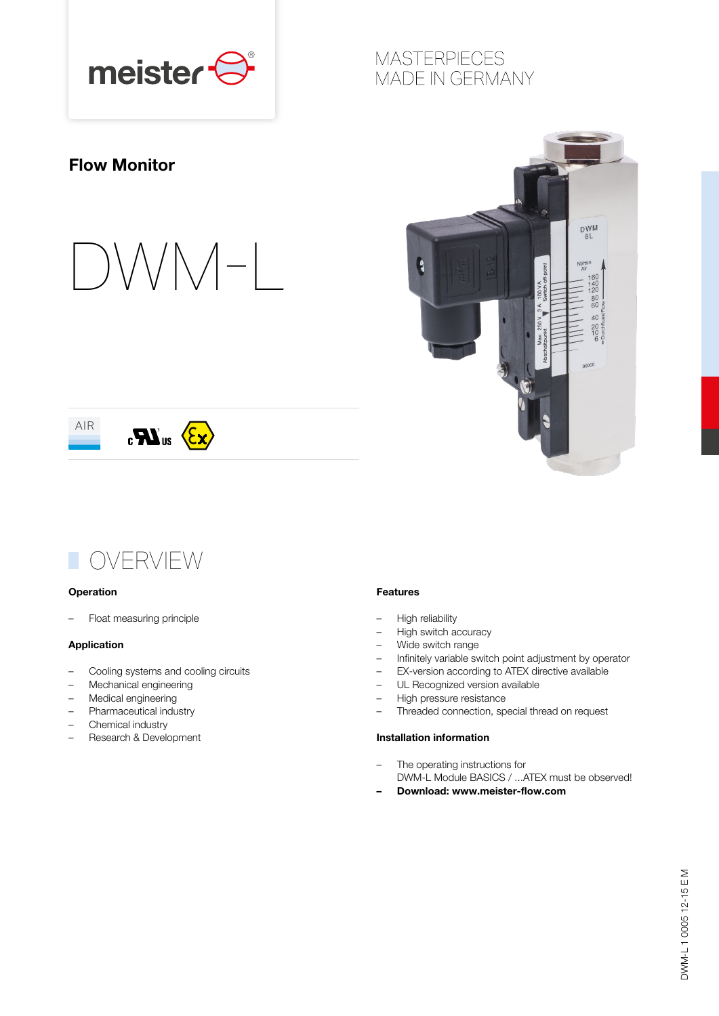

### **MASTERPIECES** MADE IN GERMANY

### Flow Monitor









#### **Operation**

– Float measuring principle

#### Application

- Cooling systems and cooling circuits
- Mechanical engineering
- Medical engineering
- Pharmaceutical industry
- Chemical industry
- Research & Development

#### Features

- High reliability
- High switch accuracy
- Wide switch range
- Infinitely variable switch point adjustment by operator
- EX-version according to ATEX directive available
- UL Recognized version available
- High pressure resistance
- Threaded connection, special thread on request

#### Installation information

- The operating instructions for DWM-L Module BASICS / ...ATEX must be observed!
- Download: www.meister-flow.com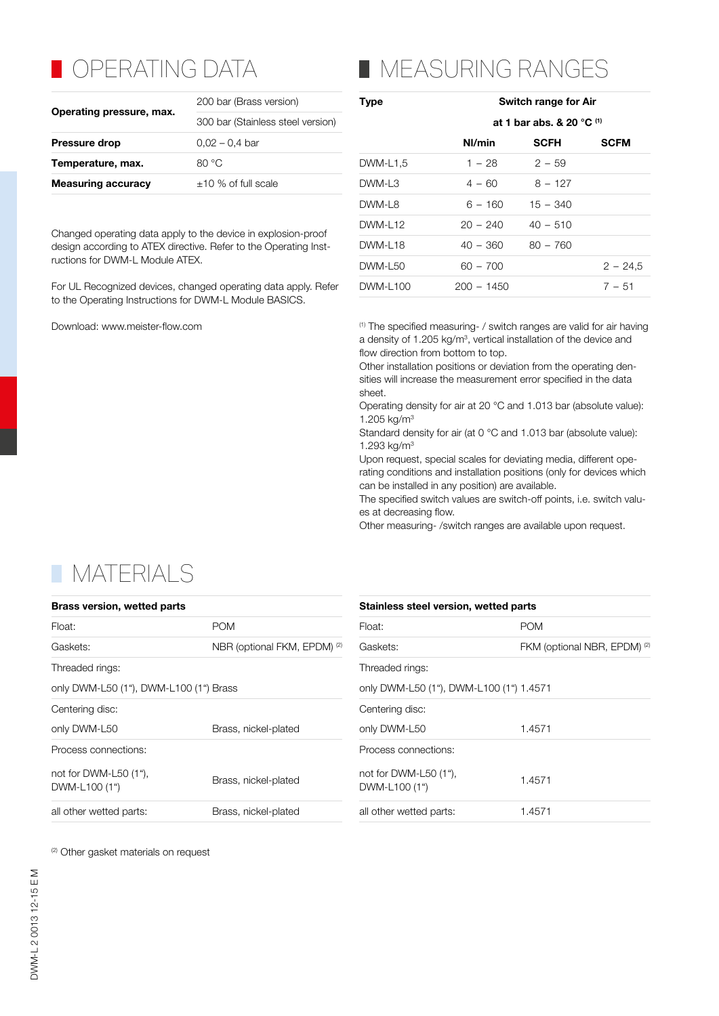## **OPERATING DATA**

|                           | 200 bar (Brass version)           |  |  |
|---------------------------|-----------------------------------|--|--|
| Operating pressure, max.  | 300 bar (Stainless steel version) |  |  |
| <b>Pressure drop</b>      | $0.02 - 0.4$ bar                  |  |  |
| Temperature, max.         | 80 °C                             |  |  |
| <b>Measuring accuracy</b> | $\pm$ 10 % of full scale          |  |  |

Changed operating data apply to the device in explosion-proof design according to ATEX directive. Refer to the Operating Instructions for DWM-L Module ATEX.

For UL Recognized devices, changed operating data apply. Refer to the Operating Instructions for DWM-L Module BASICS.

# **NEASURING RANGES**

| <b>Type</b>     | Switch range for Air                     |             |             |  |  |  |
|-----------------|------------------------------------------|-------------|-------------|--|--|--|
|                 | at 1 bar abs. & 20 $^{\circ}$ C $^{(1)}$ |             |             |  |  |  |
|                 | Nl/min                                   | <b>SCFH</b> | <b>SCFM</b> |  |  |  |
| DWM-L1,5        | $1 - 28$                                 | $2 - 59$    |             |  |  |  |
| DWM-L3          | $4 - 60$                                 | $8 - 127$   |             |  |  |  |
| DWM-L8          | $6 - 160$                                | $15 - 340$  |             |  |  |  |
| DWM-L12         | $20 - 240$                               | $40 - 510$  |             |  |  |  |
| <b>DWM-I 18</b> | 40 – 360                                 | $80 - 760$  |             |  |  |  |
| DWM-L50         | $60 - 700$                               |             | $2 - 24.5$  |  |  |  |
| DWM-L100        | $200 - 1450$                             |             | $7 - 51$    |  |  |  |
|                 |                                          |             |             |  |  |  |

Download: www.meister-flow.com example and the specified measuring- / switch ranges are valid for air having a density of 1.205 kg/m<sup>3</sup>, vertical installation of the device and flow direction from bottom to top.

Other installation positions or deviation from the operating densities will increase the measurement error specified in the data sheet.

Operating density for air at 20 °C and 1.013 bar (absolute value): 1.205 kg/m3

Standard density for air (at 0 °C and 1.013 bar (absolute value): 1.293 kg/m3

Upon request, special scales for deviating media, different operating conditions and installation positions (only for devices which can be installed in any position) are available.

The specified switch values are switch-off points, i.e. switch values at decreasing flow.

Other measuring- /switch ranges are available upon request.

### **TIMATERIALS**

| <b>Brass version, wetted parts</b>               |                                         | Stainless steel version, wetted parts            |                                         |  |  |  |
|--------------------------------------------------|-----------------------------------------|--------------------------------------------------|-----------------------------------------|--|--|--|
| Float:                                           | <b>POM</b>                              |                                                  | <b>POM</b>                              |  |  |  |
| Gaskets:                                         | NBR (optional FKM, EPDM) <sup>(2)</sup> | Gaskets:                                         | FKM (optional NBR, EPDM) <sup>(2)</sup> |  |  |  |
| Threaded rings:                                  |                                         | Threaded rings:                                  |                                         |  |  |  |
| only DWM-L50 (1"), DWM-L100 (1") Brass           |                                         | only DWM-L50 (1"), DWM-L100 (1") 1.4571          |                                         |  |  |  |
| Centering disc:                                  |                                         | Centering disc:                                  |                                         |  |  |  |
| only DWM-L50<br>Brass, nickel-plated             |                                         | only DWM-L50                                     | 1.4571                                  |  |  |  |
| Process connections:                             |                                         | Process connections:                             |                                         |  |  |  |
| not for DWM-L50 $(1^{\circ})$ ,<br>DWM-L100 (1") | Brass, nickel-plated                    | not for DWM-L50 $(1^{\circ})$ ,<br>DWM-L100 (1") | 1.4571                                  |  |  |  |
| all other wetted parts:                          | Brass, nickel-plated                    | all other wetted parts:                          | 1.4571                                  |  |  |  |

(2) Other gasket materials on request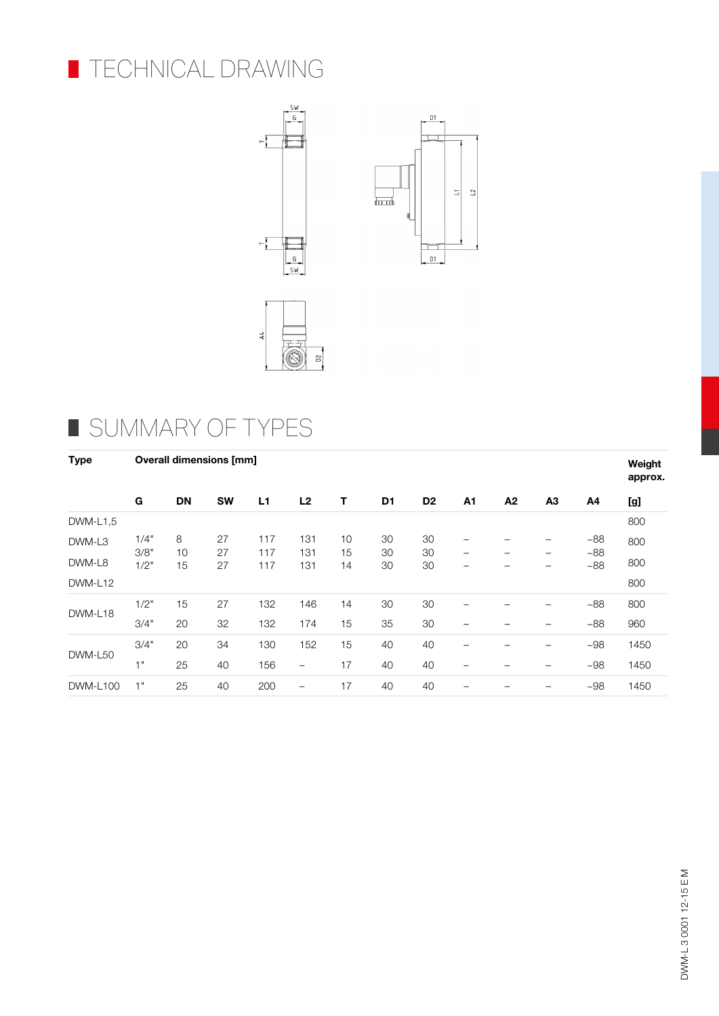





## SUMMARY OF TYPES

| <b>Type</b>     | <b>Overall dimensions [mm]</b> |           |           |                |                          |          |                |                |                               |    | Weight<br>approx. |              |      |
|-----------------|--------------------------------|-----------|-----------|----------------|--------------------------|----------|----------------|----------------|-------------------------------|----|-------------------|--------------|------|
|                 | G                              | <b>DN</b> | <b>SW</b> | L <sub>1</sub> | L2                       | Т        | D <sub>1</sub> | D <sub>2</sub> | A1                            | A2 | A <sub>3</sub>    | A4           | [g]  |
| DWM-L1.5        |                                |           |           |                |                          |          |                |                |                               |    |                   |              | 800  |
| DWM-L3          | 1/4"<br>3/8"                   | 8<br>10   | 27<br>27  | 117<br>117     | 131<br>131               | 10<br>15 | 30<br>30       | 30<br>30       | -<br>$\overline{\phantom{m}}$ |    | -<br>-            | ~188<br>~188 | 800  |
| DWM-L8          | 1/2"                           | 15        | 27        | 117            | 131                      | 14       | 30             | 30             | -                             |    | -                 | ~188         | 800  |
| DWM-L12         |                                |           |           |                |                          |          |                |                |                               |    |                   |              | 800  |
|                 | 1/2"                           | 15        | 27        | 132            | 146                      | 14       | 30             | 30             | -                             |    | -                 | ~188         | 800  |
| DWM-L18         | 3/4"                           | 20        | 32        | 132            | 174                      | 15       | 35             | 30             | $\overline{\phantom{m}}$      |    | -                 | ~188         | 960  |
|                 | 3/4"                           | 20        | 34        | 130            | 152                      | 15       | 40             | 40             |                               |    | -                 | $~108$       | 1450 |
| DWM-L50         | 1"                             | 25        | 40        | 156            | $\overline{\phantom{0}}$ | 17       | 40             | 40             |                               |    | -                 | ~108         | 1450 |
| <b>DWM-L100</b> | 1"                             | 25        | 40        | 200            | $\qquad \qquad$          | 17       | 40             | 40             |                               |    | -                 | ~108         | 1450 |